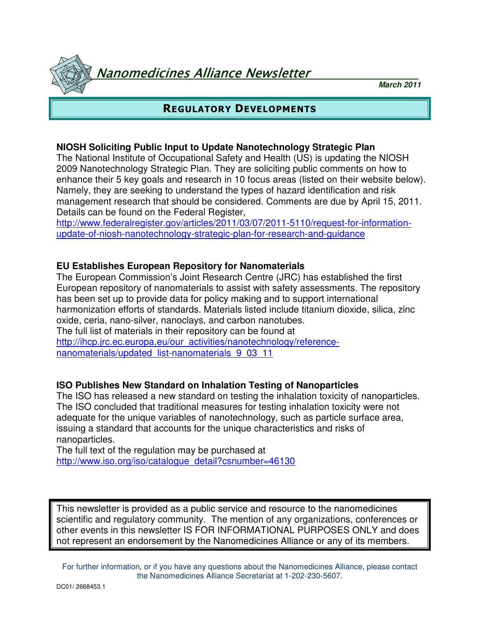Nanomedicines Alliance Newsletter

**March 2011**

# REGULATORY DEVELOPMENTS

## **NIOSH Soliciting Public Input to Update Nanotechnology Strategic Plan**

The National Institute of Occupational Safety and Health (US) is updating the NIOSH 2009 Nanotechnology Strategic Plan. They are soliciting public comments on how to enhance their 5 key goals and research in 10 focus areas (listed on their website below). Namely, they are seeking to understand the types of hazard identification and risk management research that should be considered. Comments are due by April 15, 2011. Details can be found on the Federal Register,

http://www.federalregister.gov/articles/2011/03/07/2011-5110/request-for-informationupdate-of-niosh-nanotechnology-strategic-plan-for-research-and-guidance

## **EU Establishes European Repository for Nanomaterials**

The European Commission's Joint Research Centre (JRC) has established the first European repository of nanomaterials to assist with safety assessments. The repository has been set up to provide data for policy making and to support international harmonization efforts of standards. Materials listed include titanium dioxide, silica, zinc oxide, ceria, nano-silver, nanoclays, and carbon nanotubes. The full list of materials in their repository can be found at http://ihcp.jrc.ec.europa.eu/our\_activities/nanotechnology/reference-

nanomaterials/updated list-nanomaterials 9 03 11

# **ISO Publishes New Standard on Inhalation Testing of Nanoparticles**

The ISO has released a new standard on testing the inhalation toxicity of nanoparticles. The ISO concluded that traditional measures for testing inhalation toxicity were not adequate for the unique variables of nanotechnology, such as particle surface area, issuing a standard that accounts for the unique characteristics and risks of nanoparticles.

The full text of the regulation may be purchased at http://www.iso.org/iso/catalogue\_detail?csnumber=46130

This newsletter is provided as a public service and resource to the nanomedicines scientific and regulatory community. The mention of any organizations, conferences or other events in this newsletter IS FOR INFORMATIONAL PURPOSES ONLY and does not represent an endorsement by the Nanomedicines Alliance or any of its members.

For further information, or if you have any questions about the Nanomedicines Alliance, please contact the Nanomedicines Alliance Secretariat at 1-202-230-5607.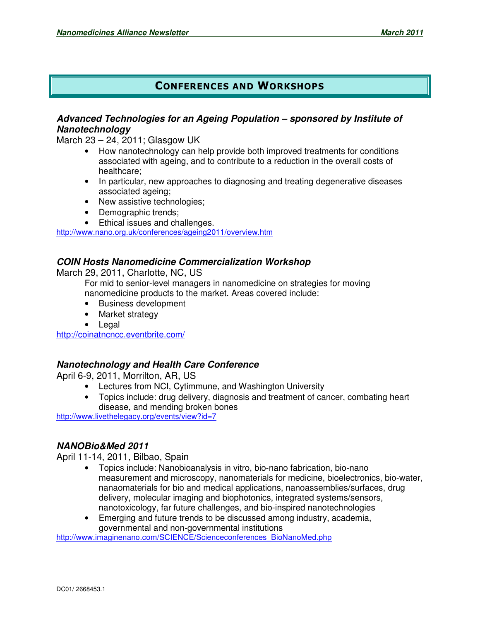# CONFERENCES AND WORKSHOPS

#### **Advanced Technologies for an Ageing Population – sponsored by Institute of Nanotechnology**

March 23 – 24, 2011; Glasgow UK

- How nanotechnology can help provide both improved treatments for conditions associated with ageing, and to contribute to a reduction in the overall costs of healthcare;
- In particular, new approaches to diagnosing and treating degenerative diseases associated ageing;
- New assistive technologies;
- Demographic trends;
- Ethical issues and challenges.

http://www.nano.org.uk/conferences/ageing2011/overview.htm

#### **COIN Hosts Nanomedicine Commercialization Workshop**

March 29, 2011, Charlotte, NC, US

For mid to senior-level managers in nanomedicine on strategies for moving nanomedicine products to the market. Areas covered include:

- Business development
- Market strategy
- Legal

http://coinatncncc.eventbrite.com/

#### **Nanotechnology and Health Care Conference**

April 6-9, 2011, Morrilton, AR, US

- Lectures from NCI, Cytimmune, and Washington University
- Topics include: drug delivery, diagnosis and treatment of cancer, combating heart disease, and mending broken bones

http://www.livethelegacy.org/events/view?id=7

#### **NANOBio&Med 2011**

April 11-14, 2011, Bilbao, Spain

- Topics include: Nanobioanalysis in vitro, bio-nano fabrication, bio-nano measurement and microscopy, nanomaterials for medicine, bioelectronics, bio-water, nanaomaterials for bio and medical applications, nanoassemblies/surfaces, drug delivery, molecular imaging and biophotonics, integrated systems/sensors, nanotoxicology, far future challenges, and bio-inspired nanotechnologies
- Emerging and future trends to be discussed among industry, academia, governmental and non-governmental institutions

http://www.imaginenano.com/SCIENCE/Scienceconferences\_BioNanoMed.php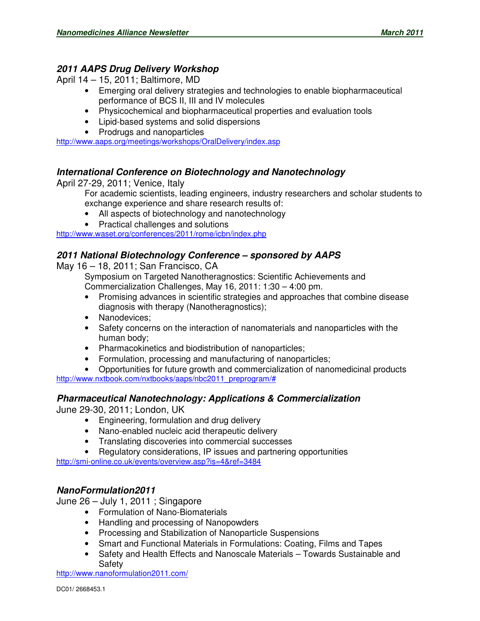# **2011 AAPS Drug Delivery Workshop**

April 14 – 15, 2011; Baltimore, MD

- Emerging oral delivery strategies and technologies to enable biopharmaceutical performance of BCS II, III and IV molecules
- Physicochemical and biopharmaceutical properties and evaluation tools
- Lipid-based systems and solid dispersions
- Prodrugs and nanoparticles

http://www.aaps.org/meetings/workshops/OralDelivery/index.asp

## **International Conference on Biotechnology and Nanotechnology**

April 27-29, 2011; Venice, Italy

For academic scientists, leading engineers, industry researchers and scholar students to exchange experience and share research results of:

- All aspects of biotechnology and nanotechnology
- Practical challenges and solutions

http://www.waset.org/conferences/2011/rome/icbn/index.php

#### **2011 National Biotechnology Conference – sponsored by AAPS**

May 16 – 18, 2011; San Francisco, CA

Symposium on Targeted Nanotheragnostics: Scientific Achievements and Commercialization Challenges, May 16, 2011: 1:30 – 4:00 pm.

- Promising advances in scientific strategies and approaches that combine disease diagnosis with therapy (Nanotheragnostics);
- Nanodevices:
- Safety concerns on the interaction of nanomaterials and nanoparticles with the human body;
- Pharmacokinetics and biodistribution of nanoparticles;
- Formulation, processing and manufacturing of nanoparticles;

• Opportunities for future growth and commercialization of nanomedicinal products http://www.nxtbook.com/nxtbooks/aaps/nbc2011\_preprogram/#

#### **Pharmaceutical Nanotechnology: Applications & Commercialization**

June 29-30, 2011; London, UK

- Engineering, formulation and drug delivery
- Nano-enabled nucleic acid therapeutic delivery
- Translating discoveries into commercial successes
- Regulatory considerations, IP issues and partnering opportunities

http://smi-online.co.uk/events/overview.asp?is=4&ref=3484

#### **NanoFormulation2011**

June 26 – July 1, 2011 ; Singapore

- Formulation of Nano-Biomaterials
- Handling and processing of Nanopowders
- Processing and Stabilization of Nanoparticle Suspensions
- Smart and Functional Materials in Formulations: Coating, Films and Tapes
- Safety and Health Effects and Nanoscale Materials Towards Sustainable and Safety

http://www.nanoformulation2011.com/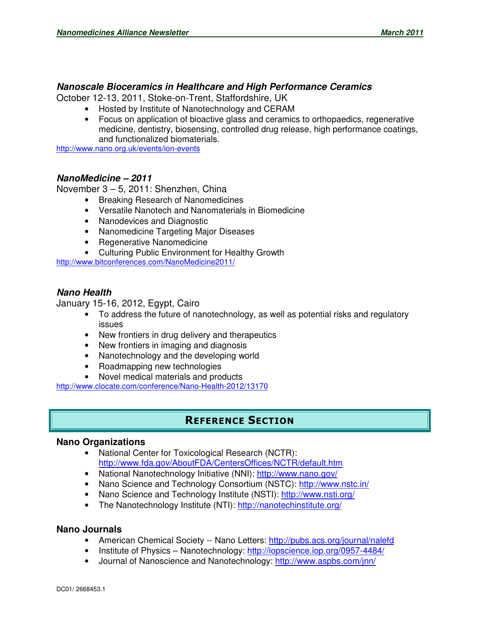#### **Nanoscale Bioceramics in Healthcare and High Performance Ceramics**

October 12-13, 2011, Stoke-on-Trent, Staffordshire, UK

- Hosted by Institute of Nanotechnology and CERAM
- Focus on application of bioactive glass and ceramics to orthopaedics, regenerative medicine, dentistry, biosensing, controlled drug release, high performance coatings, and functionalized biomaterials.

http://www.nano.org.uk/events/ion-events

#### **NanoMedicine – 2011**

November 3 – 5, 2011: Shenzhen, China

- Breaking Research of Nanomedicines
- Versatile Nanotech and Nanomaterials in Biomedicine
- Nanodevices and Diagnostic
- Nanomedicine Targeting Major Diseases
- Regenerative Nanomedicine
- Culturing Public Environment for Healthy Growth

http://www.bitconferences.com/NanoMedicine2011/

#### **Nano Health**

January 15-16, 2012, Egypt, Cairo

- To address the future of nanotechnology, as well as potential risks and regulatory issues
- New frontiers in drug delivery and therapeutics
- New frontiers in imaging and diagnosis
- Nanotechnology and the developing world
- Roadmapping new technologies
- Novel medical materials and products

http://www.clocate.com/conference/Nano-Health-2012/13170

## REFERENCE SECTION

#### **Nano Organizations**

- National Center for Toxicological Research (NCTR): http://www.fda.gov/AboutFDA/CentersOffices/NCTR/default.htm
- National Nanotechnology Initiative (NNI): http://www.nano.gov/
- Nano Science and Technology Consortium (NSTC): http://www.nstc.in/
- Nano Science and Technology Institute (NSTI): http://www.nsti.org/
- The Nanotechnology Institute (NTI): http://nanotechinstitute.org/

#### **Nano Journals**

- American Chemical Society -- Nano Letters: http://pubs.acs.org/journal/nalefd
- Institute of Physics Nanotechnology: http://iopscience.iop.org/0957-4484/
- Journal of Nanoscience and Nanotechnology: http://www.aspbs.com/jnn/